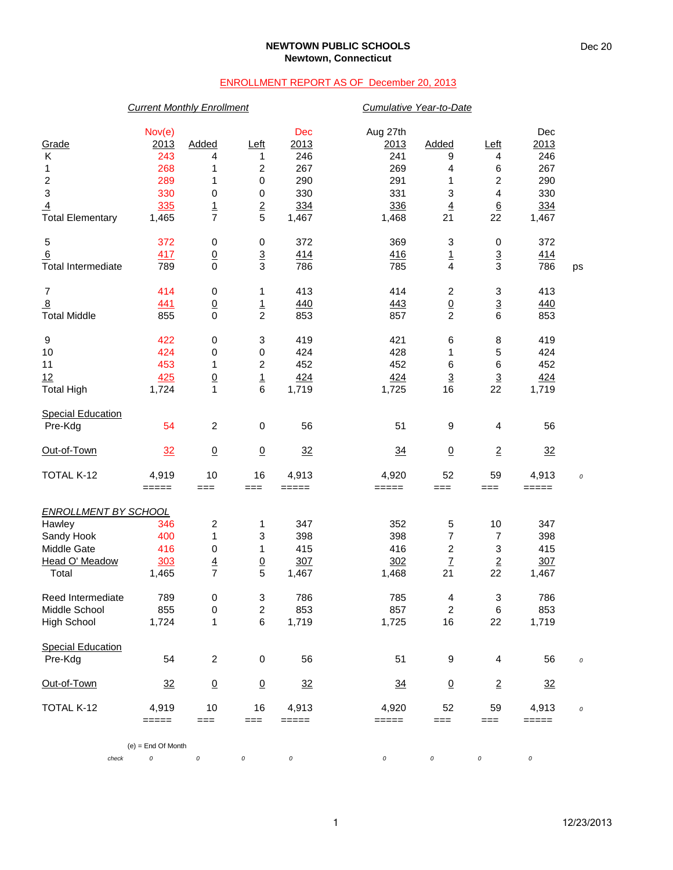### **NEWTOWN PUBLIC SCHOOLS Newtown, Connecticut**

## ENROLLMENT REPORT AS OF December 20, 2013

## *Current Monthly Enrollment Cumulative Year-to-Date*

|                              | Nov(e)               |                         |                              | Dec          | Aug 27th                                                                       |                          |                       | Dec          |          |
|------------------------------|----------------------|-------------------------|------------------------------|--------------|--------------------------------------------------------------------------------|--------------------------|-----------------------|--------------|----------|
| Grade                        | 2013                 | Added                   | Left                         | 2013<br>246  | 2013<br>241                                                                    | <b>Added</b>             | Left                  | 2013         |          |
| Κ                            | 243<br>268           | 4<br>1                  | 1<br>$\overline{\mathbf{c}}$ | 267          | 269                                                                            | 9<br>4                   | 4                     | 246<br>267   |          |
| 1                            | 289                  | 1                       |                              | 290          | 291                                                                            | 1                        | 6                     | 290          |          |
| $\overline{\mathbf{c}}$<br>3 | 330                  |                         | 0                            | 330          | 331                                                                            | 3                        | 2                     | 330          |          |
|                              |                      | 0                       | 0                            |              |                                                                                |                          | 4                     |              |          |
| $\overline{4}$               | 335<br>1,465         | $\frac{1}{7}$           | $\overline{2}$<br>5          | 334<br>1,467 | 336                                                                            | $\overline{4}$<br>21     | $\underline{6}$<br>22 | 334<br>1,467 |          |
| <b>Total Elementary</b>      |                      |                         |                              |              | 1,468                                                                          |                          |                       |              |          |
| 5                            | 372                  | 0                       | 0                            | 372          | 369                                                                            | 3                        | $\pmb{0}$             | 372          |          |
| 6                            | 417                  | $\underline{0}$         | $\overline{3}$               | 414          | 416                                                                            | $\underline{\mathbf{1}}$ | $\overline{3}$        | <u>414</u>   |          |
| <b>Total Intermediate</b>    | 789                  | $\mathbf 0$             | 3                            | 786          | 785                                                                            | 4                        | 3                     | 786          | ps       |
| $\overline{7}$               | 414                  | 0                       | 1                            | 413          | 414                                                                            | $\overline{c}$           | 3                     | 413          |          |
| $\overline{8}$               | 441                  | $\underline{0}$         | $\overline{1}$               | 440          | 443                                                                            | $\overline{0}$           | $\overline{3}$        | 440          |          |
| <b>Total Middle</b>          | 855                  | $\mathbf 0$             | $\overline{c}$               | 853          | 857                                                                            | $\overline{c}$           | 6                     | 853          |          |
| 9                            | 422                  | $\pmb{0}$               | 3                            | 419          | 421                                                                            | $\,6$                    | 8                     | 419          |          |
| 10                           | 424                  | 0                       | 0                            | 424          | 428                                                                            | 1                        | 5                     | 424          |          |
| 11                           | 453                  | 1                       | $\overline{\mathbf{c}}$      | 452          | 452                                                                            | $\,6$                    | 6                     | 452          |          |
| 12                           | 425                  | $\frac{0}{1}$           | $\frac{1}{6}$                | 424          | 424                                                                            | $\overline{3}$           | $\overline{3}$        | 424          |          |
| <b>Total High</b>            | 1,724                |                         |                              | 1,719        | 1,725                                                                          | 16                       | 22                    | 1,719        |          |
| <b>Special Education</b>     |                      |                         |                              |              |                                                                                |                          |                       |              |          |
| Pre-Kdg                      | 54                   | $\overline{c}$          | 0                            | 56           | 51                                                                             | 9                        | 4                     | 56           |          |
| Out-of-Town                  | 32                   | $\underline{0}$         | $\underline{0}$              | 32           | $\frac{34}{5}$                                                                 | $\underline{0}$          | $\overline{2}$        | 32           |          |
| TOTAL K-12                   | 4,919                | 10                      | 16                           | 4,913        | 4,920                                                                          | 52                       | 59                    | 4,913        | $\cal O$ |
|                              | $=====$              | $==$                    | $==$                         | =====        | =====                                                                          | $==$                     | ===                   | =====        |          |
| <b>ENROLLMENT BY SCHOOL</b>  |                      |                         |                              |              |                                                                                |                          |                       |              |          |
| Hawley                       | 346                  | $\overline{\mathbf{c}}$ | 1                            | 347          | 352                                                                            | 5                        | 10                    | 347          |          |
| Sandy Hook                   | 400                  | 1                       | 3                            | 398          | 398                                                                            | 7                        | 7                     | 398          |          |
| Middle Gate                  | 416                  | 0                       | 1                            | 415          | 416                                                                            | $\overline{c}$           | 3                     | 415          |          |
| Head O' Meadow               | 303                  | $\overline{4}$          | $\overline{0}$               | 307          | 302                                                                            | $\mathbf{Z}$             | $\overline{2}$        | 307          |          |
| Total                        | 1,465                | $\overline{7}$          | 5                            | 1,467        | 1,468                                                                          | 21                       | 22                    | 1,467        |          |
| Reed Intermediate            | 789                  | 0                       | 3                            | 786          | 785                                                                            | 4                        | 3                     | 786          |          |
| Middle School                | 855                  | 0                       | $\overline{c}$               | 853          | 857                                                                            | 2                        | $\,6$                 | 853          |          |
| <b>High School</b>           | 1,724                | 1                       | 6                            | 1,719        | 1,725                                                                          | 16                       | 22                    | 1,719        |          |
| <b>Special Education</b>     |                      |                         |                              |              |                                                                                |                          |                       |              |          |
| Pre-Kdg                      | 54                   | $\overline{c}$          | $\,0\,$                      | 56           | 51                                                                             | 9                        | 4                     | 56           | $\cal O$ |
| Out-of-Town                  | 32                   | $\underline{0}$         | $\overline{0}$               | 32           | $\frac{34}{5}$                                                                 | $\underline{0}$          | $\overline{2}$        | 32           |          |
| TOTAL K-12                   | 4,919                | 10                      | 16                           | 4,913        | 4,920                                                                          | 52                       | 59                    | 4,913        | $\cal O$ |
|                              | =====                | $==$                    | $==$                         | =====        | $\qquad \qquad \doteq \qquad \qquad \doteq \qquad \qquad \doteq \qquad \qquad$ | ===                      | $==$                  | =====        |          |
|                              | $(e)$ = End Of Month |                         |                              |              |                                                                                |                          |                       |              |          |
| check                        | 0                    | $\cal O$                | 0                            | 0            | 0                                                                              | 0                        | 0                     | 0            |          |